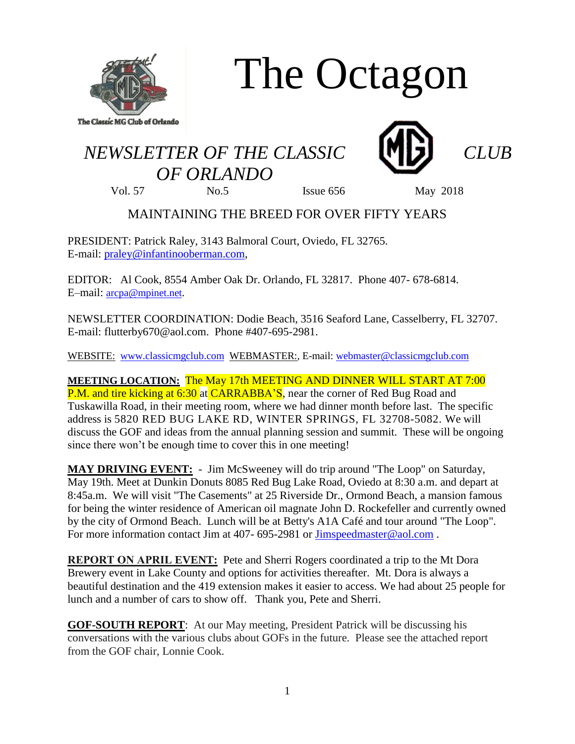

# The Octagon

## *NEWSLETTER OF THE CLASSIC CLUB OF ORLANDO*





Vol. 57 No.5 Issue 656 May 2018

### MAINTAINING THE BREED FOR OVER FIFTY YEARS

PRESIDENT: Patrick Raley, 3143 Balmoral Court, Oviedo, FL 32765. E-mail: [praley@infantinooberman.com,](mailto:praley@infantinooberman.com)

EDITOR: Al Cook, 8554 Amber Oak Dr. Orlando, FL 32817. Phone 407- 678-6814. E–mail: [arcpa@mpinet.net](mailto:arcpa@mpinet.net).

NEWSLETTER COORDINATION: Dodie Beach, 3516 Seaford Lane, Casselberry, FL 32707. E-mail: flutterby670@aol.com. Phone #407-695-2981.

WEBSITE: [www.classicmgclub.com](http://www.classicmgclub.com/) WEBMASTER:, E-mail[: webmaster@classicmgclub.com](mailto:webmaster@classicmgclub.com)

**MEETING LOCATION:** The May 17th MEETING AND DINNER WILL START AT 7:00 P.M. and tire kicking at 6:30 at CARRABBA'S, near the corner of Red Bug Road and Tuskawilla Road, in their meeting room, where we had dinner month before last. The specific address is 5820 RED BUG LAKE RD, WINTER SPRINGS, FL 32708-5082. We will discuss the GOF and ideas from the annual planning session and summit. These will be ongoing since there won't be enough time to cover this in one meeting!

**MAY DRIVING EVENT:** - Jim McSweeney will do trip around "The Loop" on Saturday, May 19th. Meet at Dunkin Donuts 8085 Red Bug Lake Road, Oviedo at 8:30 a.m. and depart at 8:45a.m. We will visit "The Casements" at 25 Riverside Dr., Ormond Beach, a mansion famous for being the winter residence of American oil magnate John D. Rockefeller and currently owned by the city of Ormond Beach. Lunch will be at Betty's A1A Café and tour around "The Loop". For more information contact Jim at 407- 695-2981 or [Jimspeedmaster@aol.com](mailto:Jimspeedmaster@aol.com).

**REPORT ON APRIL EVENT:** Pete and Sherri Rogers coordinated a trip to the Mt Dora Brewery event in Lake County and options for activities thereafter. Mt. Dora is always a beautiful destination and the 419 extension makes it easier to access. We had about 25 people for lunch and a number of cars to show off. Thank you, Pete and Sherri.

**GOF-SOUTH REPORT**: At our May meeting, President Patrick will be discussing his conversations with the various clubs about GOFs in the future. Please see the attached report from the GOF chair, Lonnie Cook.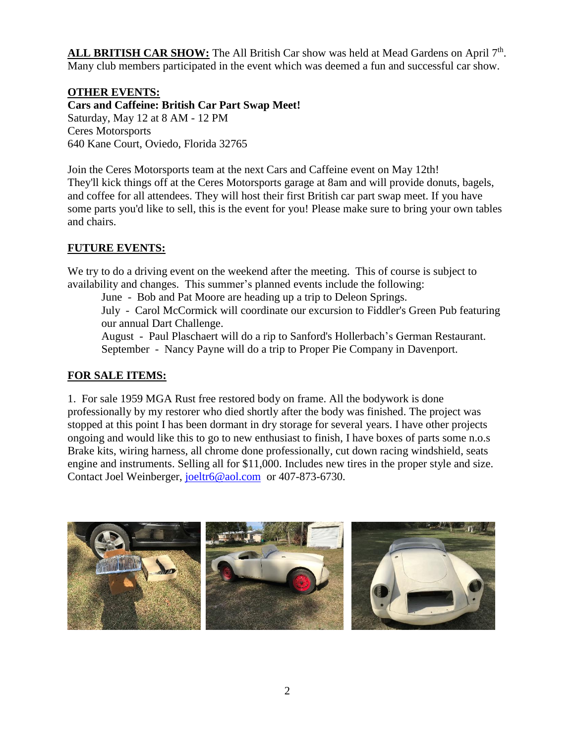ALL BRITISH CAR SHOW: The All British Car show was held at Mead Gardens on April 7<sup>th</sup>. Many club members participated in the event which was deemed a fun and successful car show.

#### **OTHER EVENTS:**

**Cars and Caffeine: British Car Part Swap Meet!** Saturday, May 12 at 8 AM - 12 PM Ceres Motorsports 640 Kane Court, Oviedo, Florida 32765

Join the Ceres Motorsports team at the next Cars and Caffeine event on May 12th! They'll kick things off at the Ceres Motorsports garage at 8am and will provide donuts, bagels, and coffee for all attendees. They will host their first British car part swap meet. If you have some parts you'd like to sell, this is the event for you! Please make sure to bring your own tables and chairs.

#### **FUTURE EVENTS:**

We try to do a driving event on the weekend after the meeting. This of course is subject to availability and changes. This summer's planned events include the following:

June - Bob and Pat Moore are heading up a trip to Deleon Springs.

July - Carol McCormick will coordinate our excursion to Fiddler's Green Pub featuring our annual Dart Challenge.

August - Paul Plaschaert will do a rip to Sanford's Hollerbach's German Restaurant. September - Nancy Payne will do a trip to Proper Pie Company in Davenport.

#### **FOR SALE ITEMS:**

1. For sale 1959 MGA Rust free restored body on frame. All the bodywork is done professionally by my restorer who died shortly after the body was finished. The project was stopped at this point I has been dormant in dry storage for several years. I have other projects ongoing and would like this to go to new enthusiast to finish, I have boxes of parts some n.o.s Brake kits, wiring harness, all chrome done professionally, cut down racing windshield, seats engine and instruments. Selling all for \$11,000. Includes new tires in the proper style and size. Contact Joel Weinberger, [joeltr6@aol.com](mailto:joeltr6@aol.com) or 407-873-6730.